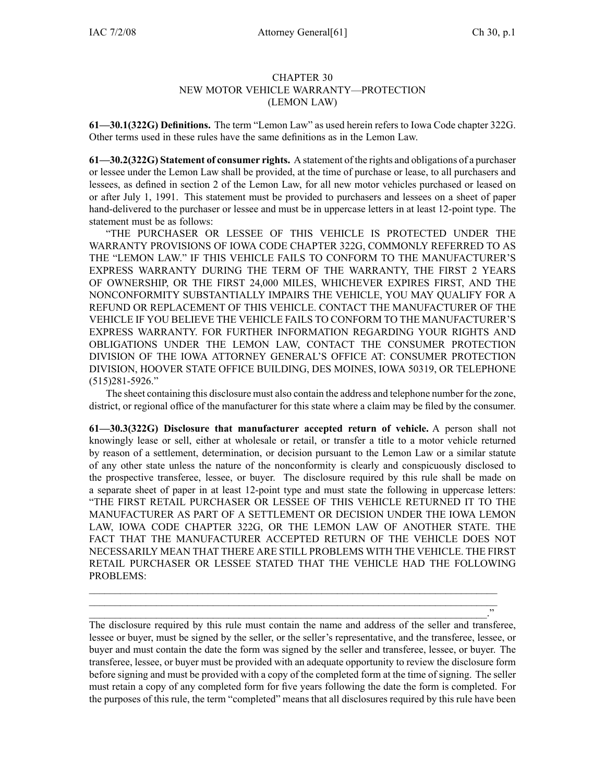## CHAPTER 30 NEW MOTOR VEHICLE WARRANTY—PROTECTION (LEMON LAW)

**61—30.1(322G) Definitions.** The term "Lemon Law" as used herein refers to Iowa Code chapter 322G. Other terms used in these rules have the same definitions as in the Lemon Law.

**61—30.2(322G) Statement of consumer rights.** A statement of the rights and obligations of <sup>a</sup> purchaser or lessee under the Lemon Law shall be provided, at the time of purchase or lease, to all purchasers and lessees, as defined in section 2 of the Lemon Law, for all new motor vehicles purchased or leased on or after July 1, 1991. This statement must be provided to purchasers and lessees on <sup>a</sup> sheet of paper hand-delivered to the purchaser or lessee and must be in uppercase letters in at least 12-point type. The statement must be as follows:

"THE PURCHASER OR LESSEE OF THIS VEHICLE IS PROTECTED UNDER THE WARRANTY PROVISIONS OF IOWA CODE CHAPTER 322G, COMMONLY REFERRED TO AS THE "LEMON LAW." IF THIS VEHICLE FAILS TO CONFORM TO THE MANUFACTURER'S EXPRESS WARRANTY DURING THE TERM OF THE WARRANTY, THE FIRST 2 YEARS OF OWNERSHIP, OR THE FIRST 24,000 MILES, WHICHEVER EXPIRES FIRST, AND THE NONCONFORMITY SUBSTANTIALLY IMPAIRS THE VEHICLE, YOU MAY QUALIFY FOR A REFUND OR REPLACEMENT OF THIS VEHICLE. CONTACT THE MANUFACTURER OF THE VEHICLE IF YOU BELIEVE THE VEHICLE FAILS TO CONFORM TO THE MANUFACTURER'S EXPRESS WARRANTY. FOR FURTHER INFORMATION REGARDING YOUR RIGHTS AND OBLIGATIONS UNDER THE LEMON LAW, CONTACT THE CONSUMER PROTECTION DIVISION OF THE IOWA ATTORNEY GENERAL'S OFFICE AT: CONSUMER PROTECTION DIVISION, HOOVER STATE OFFICE BUILDING, DES MOINES, IOWA 50319, OR TELEPHONE (515)281-5926."

The sheet containing this disclosure must also contain the address and telephone number for the zone, district, or regional office of the manufacturer for this state where <sup>a</sup> claim may be filed by the consumer.

**61—30.3(322G) Disclosure that manufacturer accepted return of vehicle.** A person shall not knowingly lease or sell, either at wholesale or retail, or transfer <sup>a</sup> title to <sup>a</sup> motor vehicle returned by reason of <sup>a</sup> settlement, determination, or decision pursuan<sup>t</sup> to the Lemon Law or <sup>a</sup> similar statute of any other state unless the nature of the nonconformity is clearly and conspicuously disclosed to the prospective transferee, lessee, or buyer. The disclosure required by this rule shall be made on <sup>a</sup> separate sheet of paper in at least 12-point type and must state the following in uppercase letters: "THE FIRST RETAIL PURCHASER OR LESSEE OF THIS VEHICLE RETURNED IT TO THE MANUFACTURER AS PART OF A SETTLEMENT OR DECISION UNDER THE IOWA LEMON LAW, IOWA CODE CHAPTER 322G, OR THE LEMON LAW OF ANOTHER STATE. THE FACT THAT THE MANUFACTURER ACCEPTED RETURN OF THE VEHICLE DOES NOT NECESSARILY MEAN THAT THERE ARE STILL PROBLEMS WITH THE VEHICLE. THE FIRST RETAIL PURCHASER OR LESSEE STATED THAT THE VEHICLE HAD THE FOLLOWING PROBLEMS:

The disclosure required by this rule must contain the name and address of the seller and transferee, lessee or buyer, must be signed by the seller, or the seller's representative, and the transferee, lessee, or buyer and must contain the date the form was signed by the seller and transferee, lessee, or buyer. The transferee, lessee, or buyer must be provided with an adequate opportunity to review the disclosure form before signing and must be provided with <sup>a</sup> copy of the completed form at the time of signing. The seller must retain <sup>a</sup> copy of any completed form for five years following the date the form is completed. For the purposes of this rule, the term "completed" means that all disclosures required by this rule have been

\_\_\_\_\_\_\_\_\_\_\_\_\_\_\_\_\_\_\_\_\_\_\_\_\_\_\_\_\_\_\_\_\_\_\_\_\_\_\_\_\_\_\_\_\_\_\_\_\_\_\_\_\_\_\_\_\_\_\_\_\_\_\_\_\_\_\_\_\_\_\_\_\_\_\_\_\_\_\_ \_\_\_\_\_\_\_\_\_\_\_\_\_\_\_\_\_\_\_\_\_\_\_\_\_\_\_\_\_\_\_\_\_\_\_\_\_\_\_\_\_\_\_\_\_\_\_\_\_\_\_\_\_\_\_\_\_\_\_\_\_\_\_\_\_\_\_\_\_\_\_\_\_\_\_\_\_\_\_  $\mathcal{L}=\{1,2,3,4\}$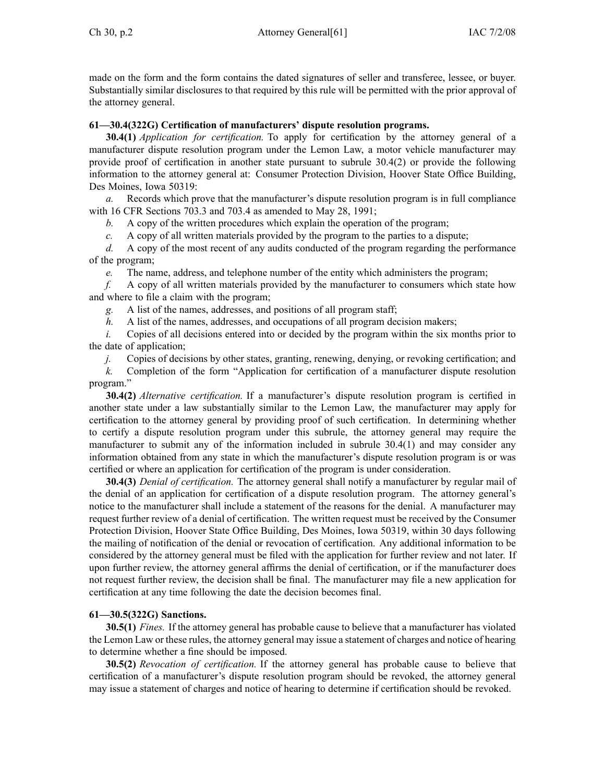made on the form and the form contains the dated signatures of seller and transferee, lessee, or buyer. Substantially similar disclosures to that required by this rule will be permitted with the prior approval of the attorney general.

## **61—30.4(322G) Certification of manufacturers' dispute resolution programs.**

**30.4(1)** *Application for certification.* To apply for certification by the attorney general of <sup>a</sup> manufacturer dispute resolution program under the Lemon Law, <sup>a</sup> motor vehicle manufacturer may provide proof of certification in another state pursuan<sup>t</sup> to subrule 30.4(2) or provide the following information to the attorney general at: Consumer Protection Division, Hoover State Office Building, Des Moines, Iowa 50319:

*a.* Records which prove that the manufacturer's dispute resolution program is in full compliance with 16 CFR Sections 703.3 and 703.4 as amended to May 28, 1991;

*b.* A copy of the written procedures which explain the operation of the program;

*c.* A copy of all written materials provided by the program to the parties to <sup>a</sup> dispute;

*d.* A copy of the most recent of any audits conducted of the program regarding the performance of the program;

*e.* The name, address, and telephone number of the entity which administers the program;

*f.* A copy of all written materials provided by the manufacturer to consumers which state how and where to file <sup>a</sup> claim with the program;

*g.* A list of the names, addresses, and positions of all program staff;

*h.* A list of the names, addresses, and occupations of all program decision makers;

*i.* Copies of all decisions entered into or decided by the program within the six months prior to the date of application;

*j.* Copies of decisions by other states, granting, renewing, denying, or revoking certification; and

*k.* Completion of the form "Application for certification of <sup>a</sup> manufacturer dispute resolution program."

**30.4(2)** *Alternative certification.* If <sup>a</sup> manufacturer's dispute resolution program is certified in another state under <sup>a</sup> law substantially similar to the Lemon Law, the manufacturer may apply for certification to the attorney general by providing proof of such certification. In determining whether to certify <sup>a</sup> dispute resolution program under this subrule, the attorney general may require the manufacturer to submit any of the information included in subrule 30.4(1) and may consider any information obtained from any state in which the manufacturer's dispute resolution program is or was certified or where an application for certification of the program is under consideration.

**30.4(3)** *Denial of certification.* The attorney general shall notify <sup>a</sup> manufacturer by regular mail of the denial of an application for certification of <sup>a</sup> dispute resolution program. The attorney general's notice to the manufacturer shall include <sup>a</sup> statement of the reasons for the denial. A manufacturer may reques<sup>t</sup> further review of <sup>a</sup> denial of certification. The written reques<sup>t</sup> must be received by the Consumer Protection Division, Hoover State Office Building, Des Moines, Iowa 50319, within 30 days following the mailing of notification of the denial or revocation of certification. Any additional information to be considered by the attorney general must be filed with the application for further review and not later. If upon further review, the attorney general affirms the denial of certification, or if the manufacturer does not reques<sup>t</sup> further review, the decision shall be final. The manufacturer may file <sup>a</sup> new application for certification at any time following the date the decision becomes final.

## **61—30.5(322G) Sanctions.**

**30.5(1)** *Fines.* If the attorney general has probable cause to believe that <sup>a</sup> manufacturer has violated the Lemon Law or these rules, the attorney general may issue <sup>a</sup> statement of charges and notice of hearing to determine whether <sup>a</sup> fine should be imposed.

**30.5(2)** *Revocation of certification.* If the attorney general has probable cause to believe that certification of <sup>a</sup> manufacturer's dispute resolution program should be revoked, the attorney general may issue <sup>a</sup> statement of charges and notice of hearing to determine if certification should be revoked.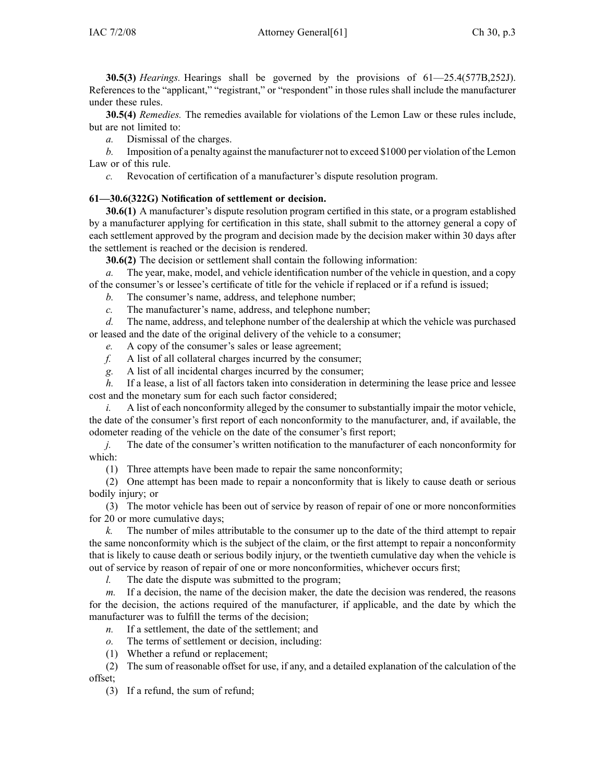**30.5(3)** *Hearings.* Hearings shall be governed by the provisions of 61—25.4(577B,252J). References to the "applicant," "registrant," or "respondent" in those rules shall include the manufacturer under these rules.

**30.5(4)** *Remedies.* The remedies available for violations of the Lemon Law or these rules include, but are not limited to:

*a.* Dismissal of the charges.

*b.* Imposition of <sup>a</sup> penalty against the manufacturer not to exceed \$1000 per violation of the Lemon Law or of this rule.

*c.* Revocation of certification of <sup>a</sup> manufacturer's dispute resolution program.

## **61—30.6(322G) Notification of settlement or decision.**

**30.6(1)** A manufacturer's dispute resolution program certified in this state, or <sup>a</sup> program established by <sup>a</sup> manufacturer applying for certification in this state, shall submit to the attorney general <sup>a</sup> copy of each settlement approved by the program and decision made by the decision maker within 30 days after the settlement is reached or the decision is rendered.

**30.6(2)** The decision or settlement shall contain the following information:

*a.* The year, make, model, and vehicle identification number of the vehicle in question, and <sup>a</sup> copy of the consumer's or lessee's certificate of title for the vehicle if replaced or if <sup>a</sup> refund is issued;

- *b.* The consumer's name, address, and telephone number;
- *c.* The manufacturer's name, address, and telephone number;

*d.* The name, address, and telephone number of the dealership at which the vehicle was purchased or leased and the date of the original delivery of the vehicle to <sup>a</sup> consumer;

*e.* A copy of the consumer's sales or lease agreement;

- *f.* A list of all collateral charges incurred by the consumer;
- *g.* A list of all incidental charges incurred by the consumer;

*h.* If <sup>a</sup> lease, <sup>a</sup> list of all factors taken into consideration in determining the lease price and lessee cost and the monetary sum for each such factor considered;

*i.* A list of each nonconformity alleged by the consumer to substantially impair the motor vehicle, the date of the consumer's first repor<sup>t</sup> of each nonconformity to the manufacturer, and, if available, the odometer reading of the vehicle on the date of the consumer's first report;

*j.* The date of the consumer's written notification to the manufacturer of each nonconformity for which:

(1) Three attempts have been made to repair the same nonconformity;

(2) One attempt has been made to repair <sup>a</sup> nonconformity that is likely to cause death or serious bodily injury; or

(3) The motor vehicle has been out of service by reason of repair of one or more nonconformities for 20 or more cumulative days;

*k.* The number of miles attributable to the consumer up to the date of the third attempt to repair the same nonconformity which is the subject of the claim, or the first attempt to repair <sup>a</sup> nonconformity that is likely to cause death or serious bodily injury, or the twentieth cumulative day when the vehicle is out of service by reason of repair of one or more nonconformities, whichever occurs first;

*l.* The date the dispute was submitted to the program;

*m.* If <sup>a</sup> decision, the name of the decision maker, the date the decision was rendered, the reasons for the decision, the actions required of the manufacturer, if applicable, and the date by which the manufacturer was to fulfill the terms of the decision;

- *n.* If <sup>a</sup> settlement, the date of the settlement; and
- *o.* The terms of settlement or decision, including:
- (1) Whether <sup>a</sup> refund or replacement;

(2) The sum of reasonable offset for use, if any, and <sup>a</sup> detailed explanation of the calculation of the offset;

(3) If <sup>a</sup> refund, the sum of refund;